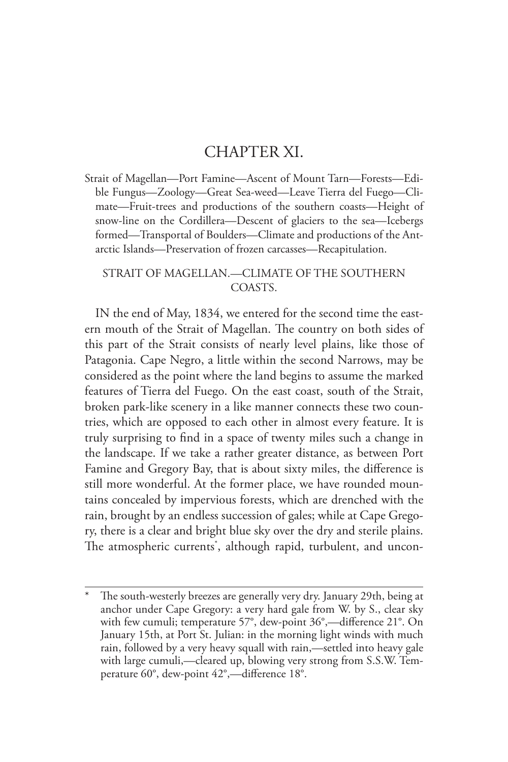## CHAPTER XI.

Strait of Magellan—Port Famine—Ascent of Mount Tarn—Forests—Edible Fungus—Zoology—Great Sea-weed—Leave Tierra del Fuego—Climate—Fruit-trees and productions of the southern coasts—Height of snow-line on the Cordillera—Descent of glaciers to the sea—Icebergs formed—Transportal of Boulders—Climate and productions of the Antarctic Islands—Preservation of frozen carcasses—Recapitulation.

## STRAIT OF MAGELLAN.—CLIMATE OF THE SOUTHERN COASTS.

IN the end of May, 1834, we entered for the second time the eastern mouth of the Strait of Magellan. The country on both sides of this part of the Strait consists of nearly level plains, like those of Patagonia. Cape Negro, a little within the second Narrows, may be considered as the point where the land begins to assume the marked features of Tierra del Fuego. On the east coast, south of the Strait, broken park-like scenery in a like manner connects these two countries, which are opposed to each other in almost every feature. It is truly surprising to find in a space of twenty miles such a change in the landscape. If we take a rather greater distance, as between Port Famine and Gregory Bay, that is about sixty miles, the difference is still more wonderful. At the former place, we have rounded mountains concealed by impervious forests, which are drenched with the rain, brought by an endless succession of gales; while at Cape Gregory, there is a clear and bright blue sky over the dry and sterile plains. The atmospheric currents\* , although rapid, turbulent, and uncon-

The south-westerly breezes are generally very dry. January 29th, being at anchor under Cape Gregory: a very hard gale from W. by S., clear sky with few cumuli; temperature 57°, dew-point 36°,—difference 21°. On January 15th, at Port St. Julian: in the morning light winds with much rain, followed by a very heavy squall with rain,—settled into heavy gale with large cumuli,—cleared up, blowing very strong from S.S.W. Temperature 60°, dew-point 42°,—difference 18°.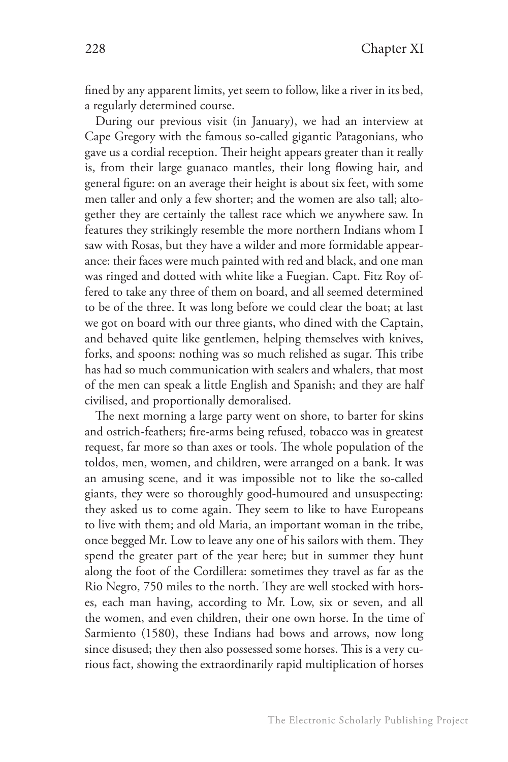fined by any apparent limits, yet seem to follow, like a river in its bed, a regularly determined course.

During our previous visit (in January), we had an interview at Cape Gregory with the famous so-called gigantic Patagonians, who gave us a cordial reception. Their height appears greater than it really is, from their large guanaco mantles, their long flowing hair, and general figure: on an average their height is about six feet, with some men taller and only a few shorter; and the women are also tall; altogether they are certainly the tallest race which we anywhere saw. In features they strikingly resemble the more northern Indians whom I saw with Rosas, but they have a wilder and more formidable appearance: their faces were much painted with red and black, and one man was ringed and dotted with white like a Fuegian. Capt. Fitz Roy offered to take any three of them on board, and all seemed determined to be of the three. It was long before we could clear the boat; at last we got on board with our three giants, who dined with the Captain, and behaved quite like gentlemen, helping themselves with knives, forks, and spoons: nothing was so much relished as sugar. This tribe has had so much communication with sealers and whalers, that most of the men can speak a little English and Spanish; and they are half civilised, and proportionally demoralised.

The next morning a large party went on shore, to barter for skins and ostrich-feathers; fire-arms being refused, tobacco was in greatest request, far more so than axes or tools. The whole population of the toldos, men, women, and children, were arranged on a bank. It was an amusing scene, and it was impossible not to like the so-called giants, they were so thoroughly good-humoured and unsuspecting: they asked us to come again. They seem to like to have Europeans to live with them; and old Maria, an important woman in the tribe, once begged Mr. Low to leave any one of his sailors with them. They spend the greater part of the year here; but in summer they hunt along the foot of the Cordillera: sometimes they travel as far as the Rio Negro, 750 miles to the north. They are well stocked with horses, each man having, according to Mr. Low, six or seven, and all the women, and even children, their one own horse. In the time of Sarmiento (1580), these Indians had bows and arrows, now long since disused; they then also possessed some horses. This is a very curious fact, showing the extraordinarily rapid multiplication of horses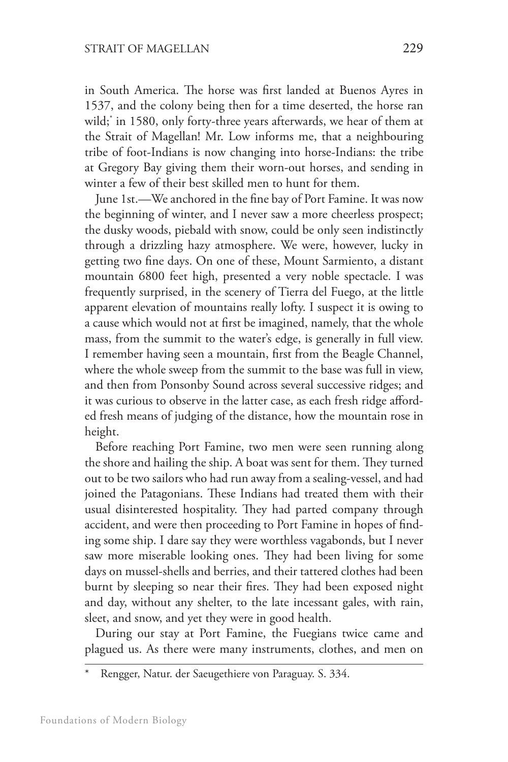in South America. The horse was first landed at Buenos Ayres in 1537, and the colony being then for a time deserted, the horse ran wild;\* in 1580, only forty-three years afterwards, we hear of them at the Strait of Magellan! Mr. Low informs me, that a neighbouring tribe of foot-Indians is now changing into horse-Indians: the tribe at Gregory Bay giving them their worn-out horses, and sending in winter a few of their best skilled men to hunt for them.

June 1st.—We anchored in the fine bay of Port Famine. It was now the beginning of winter, and I never saw a more cheerless prospect; the dusky woods, piebald with snow, could be only seen indistinctly through a drizzling hazy atmosphere. We were, however, lucky in getting two fine days. On one of these, Mount Sarmiento, a distant mountain 6800 feet high, presented a very noble spectacle. I was frequently surprised, in the scenery of Tierra del Fuego, at the little apparent elevation of mountains really lofty. I suspect it is owing to a cause which would not at first be imagined, namely, that the whole mass, from the summit to the water's edge, is generally in full view. I remember having seen a mountain, first from the Beagle Channel, where the whole sweep from the summit to the base was full in view, and then from Ponsonby Sound across several successive ridges; and it was curious to observe in the latter case, as each fresh ridge afforded fresh means of judging of the distance, how the mountain rose in height.

Before reaching Port Famine, two men were seen running along the shore and hailing the ship. A boat was sent for them. They turned out to be two sailors who had run away from a sealing-vessel, and had joined the Patagonians. These Indians had treated them with their usual disinterested hospitality. They had parted company through accident, and were then proceeding to Port Famine in hopes of finding some ship. I dare say they were worthless vagabonds, but I never saw more miserable looking ones. They had been living for some days on mussel-shells and berries, and their tattered clothes had been burnt by sleeping so near their fires. They had been exposed night and day, without any shelter, to the late incessant gales, with rain, sleet, and snow, and yet they were in good health.

During our stay at Port Famine, the Fuegians twice came and plagued us. As there were many instruments, clothes, and men on

Rengger, Natur. der Saeugethiere von Paraguay. S. 334.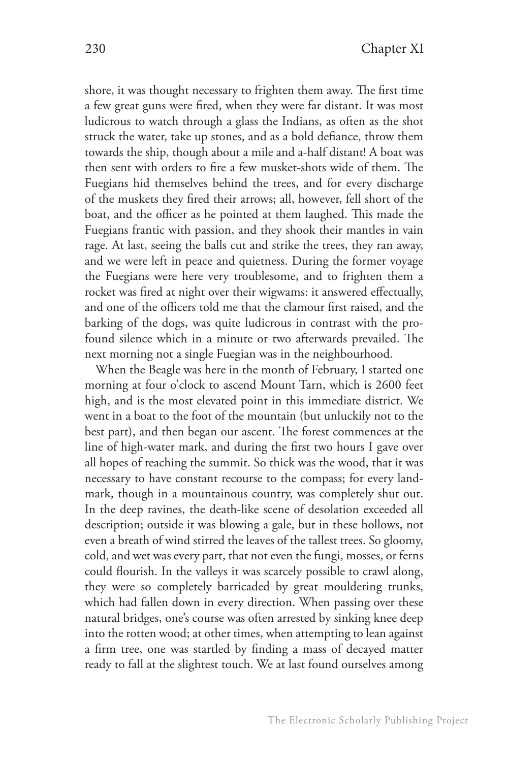shore, it was thought necessary to frighten them away. The first time a few great guns were fired, when they were far distant. It was most ludicrous to watch through a glass the Indians, as often as the shot struck the water, take up stones, and as a bold defiance, throw them towards the ship, though about a mile and a-half distant! A boat was then sent with orders to fire a few musket-shots wide of them. The Fuegians hid themselves behind the trees, and for every discharge of the muskets they fired their arrows; all, however, fell short of the boat, and the officer as he pointed at them laughed. This made the Fuegians frantic with passion, and they shook their mantles in vain rage. At last, seeing the balls cut and strike the trees, they ran away, and we were left in peace and quietness. During the former voyage the Fuegians were here very troublesome, and to frighten them a rocket was fired at night over their wigwams: it answered effectually, and one of the officers told me that the clamour first raised, and the barking of the dogs, was quite ludicrous in contrast with the profound silence which in a minute or two afterwards prevailed. The next morning not a single Fuegian was in the neighbourhood.

When the Beagle was here in the month of February, I started one morning at four o'clock to ascend Mount Tarn, which is 2600 feet high, and is the most elevated point in this immediate district. We went in a boat to the foot of the mountain (but unluckily not to the best part), and then began our ascent. The forest commences at the line of high-water mark, and during the first two hours I gave over all hopes of reaching the summit. So thick was the wood, that it was necessary to have constant recourse to the compass; for every landmark, though in a mountainous country, was completely shut out. In the deep ravines, the death-like scene of desolation exceeded all description; outside it was blowing a gale, but in these hollows, not even a breath of wind stirred the leaves of the tallest trees. So gloomy, cold, and wet was every part, that not even the fungi, mosses, or ferns could flourish. In the valleys it was scarcely possible to crawl along, they were so completely barricaded by great mouldering trunks, which had fallen down in every direction. When passing over these natural bridges, one's course was often arrested by sinking knee deep into the rotten wood; at other times, when attempting to lean against a firm tree, one was startled by finding a mass of decayed matter ready to fall at the slightest touch. We at last found ourselves among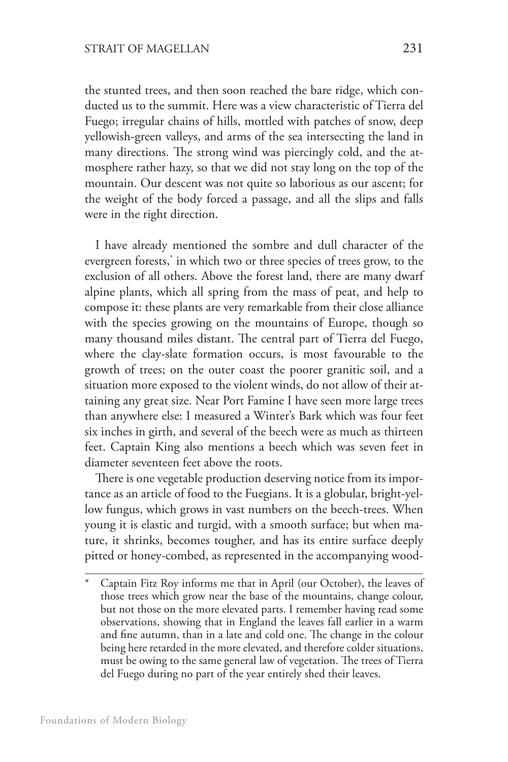the stunted trees, and then soon reached the bare ridge, which conducted us to the summit. Here was a view characteristic of Tierra del Fuego; irregular chains of hills, mottled with patches of snow, deep yellowish-green valleys, and arms of the sea intersecting the land in many directions. The strong wind was piercingly cold, and the atmosphere rather hazy, so that we did not stay long on the top of the mountain. Our descent was not quite so laborious as our ascent; for the weight of the body forced a passage, and all the slips and falls were in the right direction.

I have already mentioned the sombre and dull character of the evergreen forests,\* in which two or three species of trees grow, to the exclusion of all others. Above the forest land, there are many dwarf alpine plants, which all spring from the mass of peat, and help to compose it: these plants are very remarkable from their close alliance with the species growing on the mountains of Europe, though so many thousand miles distant. The central part of Tierra del Fuego, where the clay-slate formation occurs, is most favourable to the growth of trees; on the outer coast the poorer granitic soil, and a situation more exposed to the violent winds, do not allow of their attaining any great size. Near Port Famine I have seen more large trees than anywhere else: I measured a Winter's Bark which was four feet six inches in girth, and several of the beech were as much as thirteen feet. Captain King also mentions a beech which was seven feet in diameter seventeen feet above the roots.

There is one vegetable production deserving notice from its importance as an article of food to the Fuegians. It is a globular, bright-yellow fungus, which grows in vast numbers on the beech-trees. When young it is elastic and turgid, with a smooth surface; but when mature, it shrinks, becomes tougher, and has its entire surface deeply pitted or honey-combed, as represented in the accompanying wood-

<sup>\*</sup> Captain Fitz Roy informs me that in April (our October), the leaves of those trees which grow near the base of the mountains, change colour, but not those on the more elevated parts. I remember having read some observations, showing that in England the leaves fall earlier in a warm and fine autumn, than in a late and cold one. The change in the colour being here retarded in the more elevated, and therefore colder situations, must be owing to the same general law of vegetation. The trees of Tierra del Fuego during no part of the year entirely shed their leaves.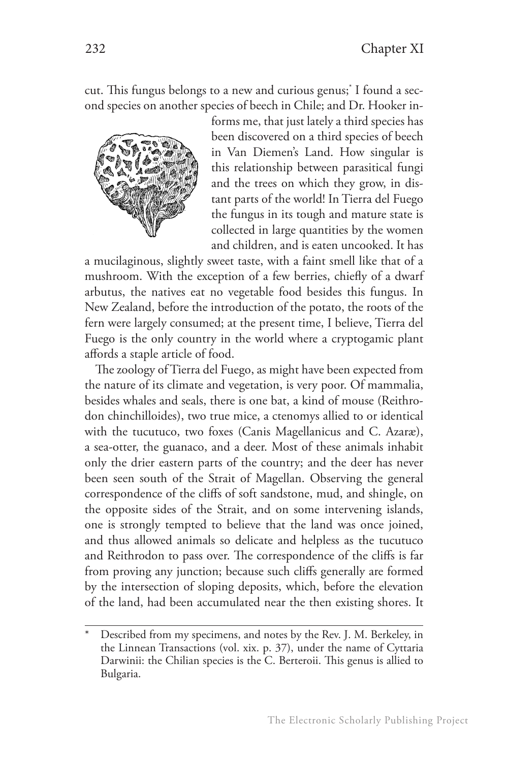cut. This fungus belongs to a new and curious genus;\* I found a second species on another species of beech in Chile; and Dr. Hooker in-



forms me, that just lately a third species has been discovered on a third species of beech in Van Diemen's Land. How singular is this relationship between parasitical fungi and the trees on which they grow, in distant parts of the world! In Tierra del Fuego the fungus in its tough and mature state is collected in large quantities by the women and children, and is eaten uncooked. It has

a mucilaginous, slightly sweet taste, with a faint smell like that of a mushroom. With the exception of a few berries, chiefly of a dwarf arbutus, the natives eat no vegetable food besides this fungus. In New Zealand, before the introduction of the potato, the roots of the fern were largely consumed; at the present time, I believe, Tierra del Fuego is the only country in the world where a cryptogamic plant affords a staple article of food.

The zoology of Tierra del Fuego, as might have been expected from the nature of its climate and vegetation, is very poor. Of mammalia, besides whales and seals, there is one bat, a kind of mouse (Reithrodon chinchilloides), two true mice, a ctenomys allied to or identical with the tucutuco, two foxes (Canis Magellanicus and C. Azaræ), a sea-otter, the guanaco, and a deer. Most of these animals inhabit only the drier eastern parts of the country; and the deer has never been seen south of the Strait of Magellan. Observing the general correspondence of the cliffs of soft sandstone, mud, and shingle, on the opposite sides of the Strait, and on some intervening islands, one is strongly tempted to believe that the land was once joined, and thus allowed animals so delicate and helpless as the tucutuco and Reithrodon to pass over. The correspondence of the cliffs is far from proving any junction; because such cliffs generally are formed by the intersection of sloping deposits, which, before the elevation of the land, had been accumulated near the then existing shores. It

Described from my specimens, and notes by the Rev. J. M. Berkeley, in the Linnean Transactions (vol. xix. p. 37), under the name of Cyttaria Darwinii: the Chilian species is the C. Berteroii. This genus is allied to Bulgaria.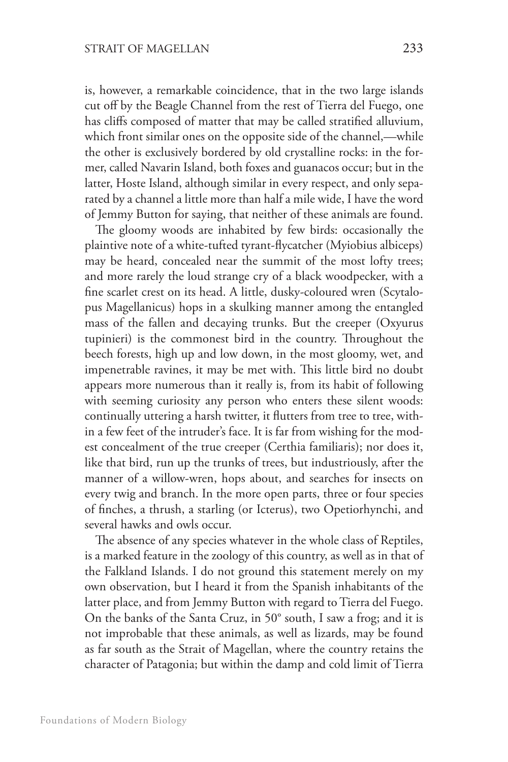is, however, a remarkable coincidence, that in the two large islands cut off by the Beagle Channel from the rest of Tierra del Fuego, one has cliffs composed of matter that may be called stratified alluvium, which front similar ones on the opposite side of the channel,—while the other is exclusively bordered by old crystalline rocks: in the former, called Navarin Island, both foxes and guanacos occur; but in the latter, Hoste Island, although similar in every respect, and only separated by a channel a little more than half a mile wide, I have the word of Jemmy Button for saying, that neither of these animals are found.

The gloomy woods are inhabited by few birds: occasionally the plaintive note of a white-tufted tyrant-flycatcher (Myiobius albiceps) may be heard, concealed near the summit of the most lofty trees; and more rarely the loud strange cry of a black woodpecker, with a fine scarlet crest on its head. A little, dusky-coloured wren (Scytalopus Magellanicus) hops in a skulking manner among the entangled mass of the fallen and decaying trunks. But the creeper (Oxyurus tupinieri) is the commonest bird in the country. Throughout the beech forests, high up and low down, in the most gloomy, wet, and impenetrable ravines, it may be met with. This little bird no doubt appears more numerous than it really is, from its habit of following with seeming curiosity any person who enters these silent woods: continually uttering a harsh twitter, it flutters from tree to tree, within a few feet of the intruder's face. It is far from wishing for the modest concealment of the true creeper (Certhia familiaris); nor does it, like that bird, run up the trunks of trees, but industriously, after the manner of a willow-wren, hops about, and searches for insects on every twig and branch. In the more open parts, three or four species of finches, a thrush, a starling (or Icterus), two Opetiorhynchi, and several hawks and owls occur.

The absence of any species whatever in the whole class of Reptiles, is a marked feature in the zoology of this country, as well as in that of the Falkland Islands. I do not ground this statement merely on my own observation, but I heard it from the Spanish inhabitants of the latter place, and from Jemmy Button with regard to Tierra del Fuego. On the banks of the Santa Cruz, in 50° south, I saw a frog; and it is not improbable that these animals, as well as lizards, may be found as far south as the Strait of Magellan, where the country retains the character of Patagonia; but within the damp and cold limit of Tierra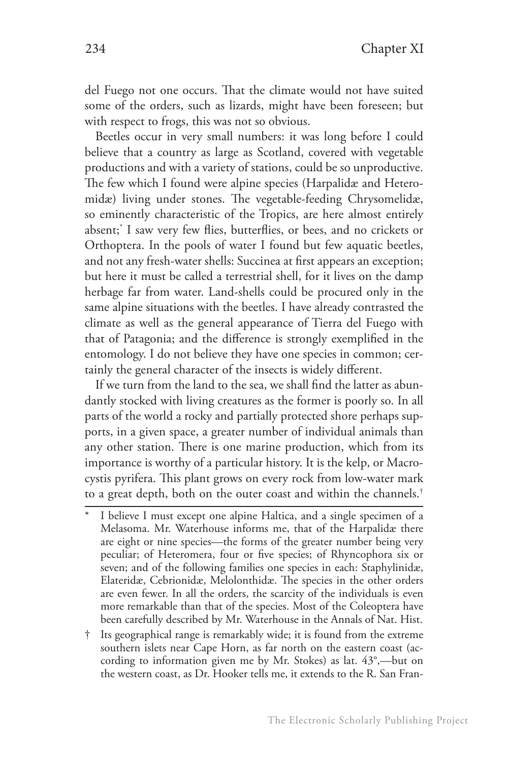del Fuego not one occurs. That the climate would not have suited some of the orders, such as lizards, might have been foreseen; but with respect to frogs, this was not so obvious.

Beetles occur in very small numbers: it was long before I could believe that a country as large as Scotland, covered with vegetable productions and with a variety of stations, could be so unproductive. The few which I found were alpine species (Harpalidæ and Heteromidæ) living under stones. The vegetable-feeding Chrysomelidæ, so eminently characteristic of the Tropics, are here almost entirely absent;\* I saw very few flies, butterflies, or bees, and no crickets or Orthoptera. In the pools of water I found but few aquatic beetles, and not any fresh-water shells: Succinea at first appears an exception; but here it must be called a terrestrial shell, for it lives on the damp herbage far from water. Land-shells could be procured only in the same alpine situations with the beetles. I have already contrasted the climate as well as the general appearance of Tierra del Fuego with that of Patagonia; and the difference is strongly exemplified in the entomology. I do not believe they have one species in common; certainly the general character of the insects is widely different.

If we turn from the land to the sea, we shall find the latter as abundantly stocked with living creatures as the former is poorly so. In all parts of the world a rocky and partially protected shore perhaps supports, in a given space, a greater number of individual animals than any other station. There is one marine production, which from its importance is worthy of a particular history. It is the kelp, or Macrocystis pyrifera. This plant grows on every rock from low-water mark to a great depth, both on the outer coast and within the channels.†

- I believe I must except one alpine Haltica, and a single specimen of a Melasoma. Mr. Waterhouse informs me, that of the Harpalidæ there are eight or nine species—the forms of the greater number being very peculiar; of Heteromera, four or five species; of Rhyncophora six or seven; and of the following families one species in each: Staphylinidæ, Elateridæ, Cebrionidæ, Melolonthidæ. The species in the other orders are even fewer. In all the orders, the scarcity of the individuals is even more remarkable than that of the species. Most of the Coleoptera have been carefully described by Mr. Waterhouse in the Annals of Nat. Hist.
- † Its geographical range is remarkably wide; it is found from the extreme southern islets near Cape Horn, as far north on the eastern coast (according to information given me by Mr. Stokes) as lat. 43°,—but on the western coast, as Dr. Hooker tells me, it extends to the R. San Fran-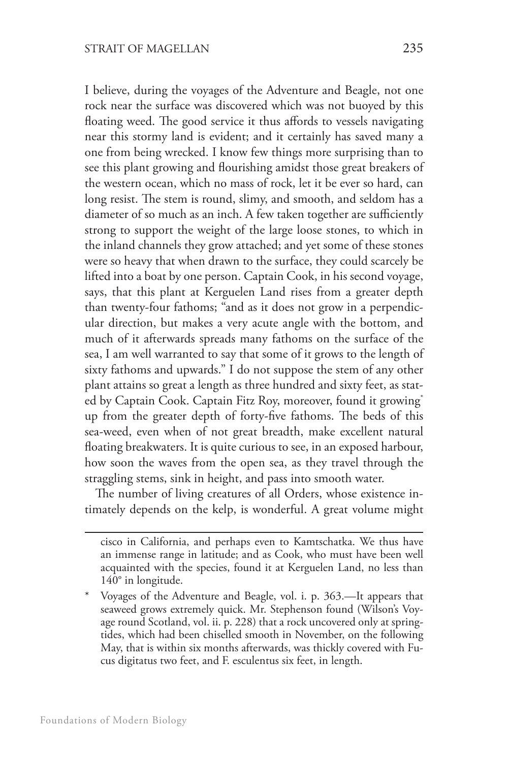I believe, during the voyages of the Adventure and Beagle, not one rock near the surface was discovered which was not buoyed by this floating weed. The good service it thus affords to vessels navigating near this stormy land is evident; and it certainly has saved many a one from being wrecked. I know few things more surprising than to see this plant growing and flourishing amidst those great breakers of the western ocean, which no mass of rock, let it be ever so hard, can long resist. The stem is round, slimy, and smooth, and seldom has a diameter of so much as an inch. A few taken together are sufficiently strong to support the weight of the large loose stones, to which in the inland channels they grow attached; and yet some of these stones were so heavy that when drawn to the surface, they could scarcely be lifted into a boat by one person. Captain Cook, in his second voyage, says, that this plant at Kerguelen Land rises from a greater depth than twenty-four fathoms; "and as it does not grow in a perpendicular direction, but makes a very acute angle with the bottom, and much of it afterwards spreads many fathoms on the surface of the sea, I am well warranted to say that some of it grows to the length of sixty fathoms and upwards." I do not suppose the stem of any other plant attains so great a length as three hundred and sixty feet, as stated by Captain Cook. Captain Fitz Roy, moreover, found it growing<sup>\*</sup> up from the greater depth of forty-five fathoms. The beds of this sea-weed, even when of not great breadth, make excellent natural floating breakwaters. It is quite curious to see, in an exposed harbour, how soon the waves from the open sea, as they travel through the straggling stems, sink in height, and pass into smooth water.

The number of living creatures of all Orders, whose existence intimately depends on the kelp, is wonderful. A great volume might

cisco in California, and perhaps even to Kamtschatka. We thus have an immense range in latitude; and as Cook, who must have been well acquainted with the species, found it at Kerguelen Land, no less than 140° in longitude.

<sup>\*</sup> Voyages of the Adventure and Beagle, vol. i. p. 363.—It appears that seaweed grows extremely quick. Mr. Stephenson found (Wilson's Voyage round Scotland, vol. ii. p. 228) that a rock uncovered only at springtides, which had been chiselled smooth in November, on the following May, that is within six months afterwards, was thickly covered with Fucus digitatus two feet, and F. esculentus six feet, in length.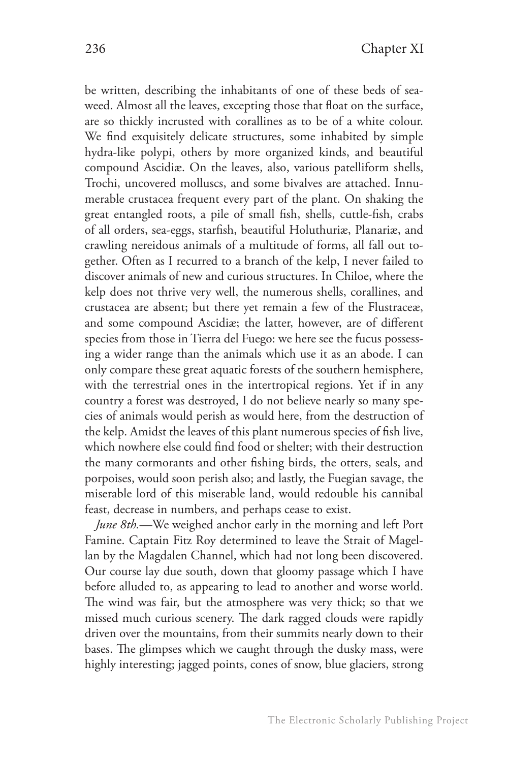be written, describing the inhabitants of one of these beds of seaweed. Almost all the leaves, excepting those that float on the surface, are so thickly incrusted with corallines as to be of a white colour. We find exquisitely delicate structures, some inhabited by simple hydra-like polypi, others by more organized kinds, and beautiful compound Ascidiæ. On the leaves, also, various patelliform shells, Trochi, uncovered molluscs, and some bivalves are attached. Innumerable crustacea frequent every part of the plant. On shaking the great entangled roots, a pile of small fish, shells, cuttle-fish, crabs of all orders, sea-eggs, starfish, beautiful Holuthuriæ, Planariæ, and crawling nereidous animals of a multitude of forms, all fall out together. Often as I recurred to a branch of the kelp, I never failed to discover animals of new and curious structures. In Chiloe, where the kelp does not thrive very well, the numerous shells, corallines, and crustacea are absent; but there yet remain a few of the Flustraceæ, and some compound Ascidiæ; the latter, however, are of different species from those in Tierra del Fuego: we here see the fucus possessing a wider range than the animals which use it as an abode. I can only compare these great aquatic forests of the southern hemisphere, with the terrestrial ones in the intertropical regions. Yet if in any country a forest was destroyed, I do not believe nearly so many species of animals would perish as would here, from the destruction of the kelp. Amidst the leaves of this plant numerous species of fish live, which nowhere else could find food or shelter; with their destruction the many cormorants and other fishing birds, the otters, seals, and porpoises, would soon perish also; and lastly, the Fuegian savage, the miserable lord of this miserable land, would redouble his cannibal feast, decrease in numbers, and perhaps cease to exist.

*June 8th.*—We weighed anchor early in the morning and left Port Famine. Captain Fitz Roy determined to leave the Strait of Magellan by the Magdalen Channel, which had not long been discovered. Our course lay due south, down that gloomy passage which I have before alluded to, as appearing to lead to another and worse world. The wind was fair, but the atmosphere was very thick; so that we missed much curious scenery. The dark ragged clouds were rapidly driven over the mountains, from their summits nearly down to their bases. The glimpses which we caught through the dusky mass, were highly interesting; jagged points, cones of snow, blue glaciers, strong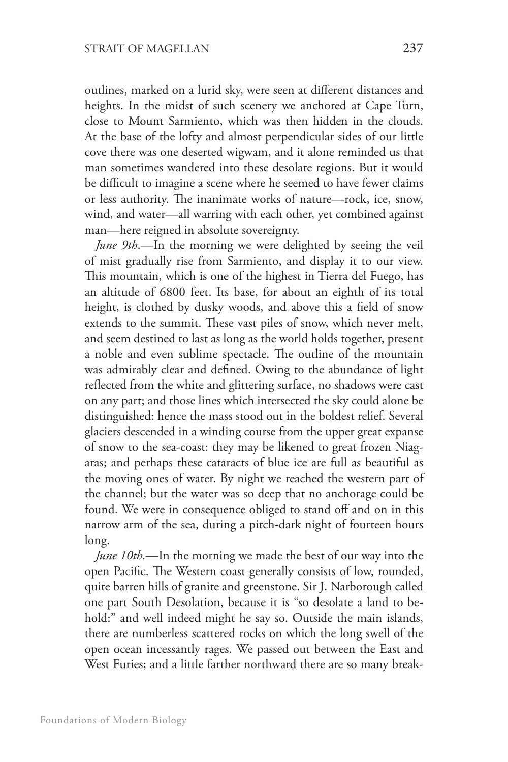outlines, marked on a lurid sky, were seen at different distances and heights. In the midst of such scenery we anchored at Cape Turn, close to Mount Sarmiento, which was then hidden in the clouds. At the base of the lofty and almost perpendicular sides of our little cove there was one deserted wigwam, and it alone reminded us that man sometimes wandered into these desolate regions. But it would be difficult to imagine a scene where he seemed to have fewer claims or less authority. The inanimate works of nature—rock, ice, snow, wind, and water—all warring with each other, yet combined against man—here reigned in absolute sovereignty.

*June 9th*.—In the morning we were delighted by seeing the veil of mist gradually rise from Sarmiento, and display it to our view. This mountain, which is one of the highest in Tierra del Fuego, has an altitude of 6800 feet. Its base, for about an eighth of its total height, is clothed by dusky woods, and above this a field of snow extends to the summit. These vast piles of snow, which never melt, and seem destined to last as long as the world holds together, present a noble and even sublime spectacle. The outline of the mountain was admirably clear and defined. Owing to the abundance of light reflected from the white and glittering surface, no shadows were cast on any part; and those lines which intersected the sky could alone be distinguished: hence the mass stood out in the boldest relief. Several glaciers descended in a winding course from the upper great expanse of snow to the sea-coast: they may be likened to great frozen Niagaras; and perhaps these cataracts of blue ice are full as beautiful as the moving ones of water. By night we reached the western part of the channel; but the water was so deep that no anchorage could be found. We were in consequence obliged to stand off and on in this narrow arm of the sea, during a pitch-dark night of fourteen hours long.

*June 10th.*—In the morning we made the best of our way into the open Pacific. The Western coast generally consists of low, rounded, quite barren hills of granite and greenstone. Sir J. Narborough called one part South Desolation, because it is "so desolate a land to behold:" and well indeed might he say so. Outside the main islands, there are numberless scattered rocks on which the long swell of the open ocean incessantly rages. We passed out between the East and West Furies; and a little farther northward there are so many break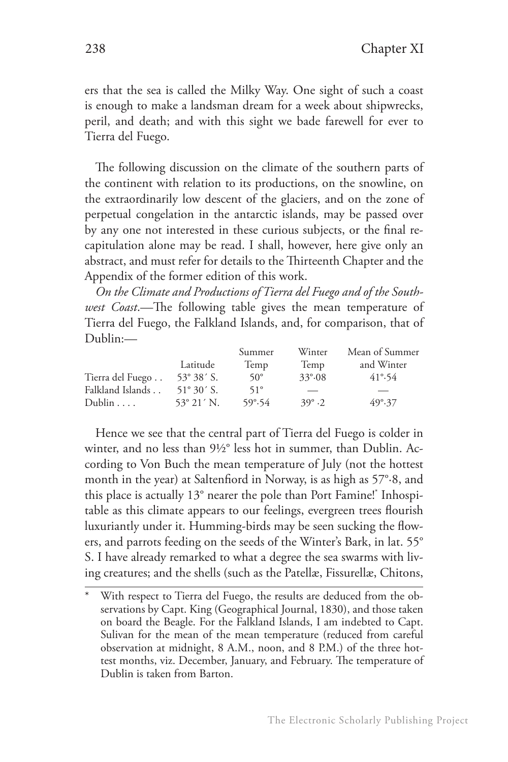ers that the sea is called the Milky Way. One sight of such a coast is enough to make a landsman dream for a week about shipwrecks, peril, and death; and with this sight we bade farewell for ever to Tierra del Fuego.

The following discussion on the climate of the southern parts of the continent with relation to its productions, on the snowline, on the extraordinarily low descent of the glaciers, and on the zone of perpetual congelation in the antarctic islands, may be passed over by any one not interested in these curious subjects, or the final recapitulation alone may be read. I shall, however, here give only an abstract, and must refer for details to the Thirteenth Chapter and the Appendix of the former edition of this work.

*On the Climate and Productions of Tierra del Fuego and of the Southwest Coast*.—The following table gives the mean temperature of Tierra del Fuego, the Falkland Islands, and, for comparison, that of Dublin:—

|                  |                     | Summer           | Winter          | Mean of Summer   |
|------------------|---------------------|------------------|-----------------|------------------|
|                  | Latitude            | Temp             | Temp            | and Winter       |
| Tierra del Fuego | $53^{\circ} 38'$ S. | $50^\circ$       | $33^{\circ}.08$ | 41°54            |
| Falkland Islands | $51^{\circ} 30'$ S. | $51^\circ$       |                 |                  |
| Dublin $\ldots$  | $53^{\circ}$ 21' N. | $59^{\circ}$ .54 | $39^{\circ}$ .2 | $49^{\circ}$ .37 |

Hence we see that the central part of Tierra del Fuego is colder in winter, and no less than 9½° less hot in summer, than Dublin. According to Von Buch the mean temperature of July (not the hottest month in the year) at Saltenfiord in Norway, is as high as 57°·8, and this place is actually 13° nearer the pole than Port Famine!\* Inhospitable as this climate appears to our feelings, evergreen trees flourish luxuriantly under it. Humming-birds may be seen sucking the flowers, and parrots feeding on the seeds of the Winter's Bark, in lat. 55° S. I have already remarked to what a degree the sea swarms with living creatures; and the shells (such as the Patellæ, Fissurellæ, Chitons,

With respect to Tierra del Fuego, the results are deduced from the observations by Capt. King (Geographical Journal, 1830), and those taken on board the Beagle. For the Falkland Islands, I am indebted to Capt. Sulivan for the mean of the mean temperature (reduced from careful observation at midnight, 8 A.M., noon, and 8 P.M.) of the three hottest months, viz. December, January, and February. The temperature of Dublin is taken from Barton.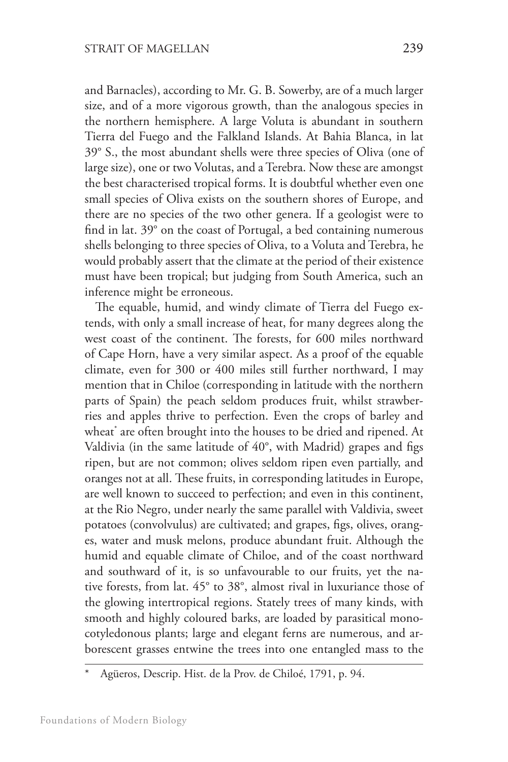and Barnacles), according to Mr. G. B. Sowerby, are of a much larger size, and of a more vigorous growth, than the analogous species in the northern hemisphere. A large Voluta is abundant in southern Tierra del Fuego and the Falkland Islands. At Bahia Blanca, in lat 39° S., the most abundant shells were three species of Oliva (one of large size), one or two Volutas, and a Terebra. Now these are amongst the best characterised tropical forms. It is doubtful whether even one small species of Oliva exists on the southern shores of Europe, and there are no species of the two other genera. If a geologist were to find in lat. 39° on the coast of Portugal, a bed containing numerous shells belonging to three species of Oliva, to a Voluta and Terebra, he would probably assert that the climate at the period of their existence must have been tropical; but judging from South America, such an inference might be erroneous.

The equable, humid, and windy climate of Tierra del Fuego extends, with only a small increase of heat, for many degrees along the west coast of the continent. The forests, for 600 miles northward of Cape Horn, have a very similar aspect. As a proof of the equable climate, even for 300 or 400 miles still further northward, I may mention that in Chiloe (corresponding in latitude with the northern parts of Spain) the peach seldom produces fruit, whilst strawberries and apples thrive to perfection. Even the crops of barley and wheat\* are often brought into the houses to be dried and ripened. At Valdivia (in the same latitude of 40°, with Madrid) grapes and figs ripen, but are not common; olives seldom ripen even partially, and oranges not at all. These fruits, in corresponding latitudes in Europe, are well known to succeed to perfection; and even in this continent, at the Rio Negro, under nearly the same parallel with Valdivia, sweet potatoes (convolvulus) are cultivated; and grapes, figs, olives, oranges, water and musk melons, produce abundant fruit. Although the humid and equable climate of Chiloe, and of the coast northward and southward of it, is so unfavourable to our fruits, yet the native forests, from lat. 45° to 38°, almost rival in luxuriance those of the glowing intertropical regions. Stately trees of many kinds, with smooth and highly coloured barks, are loaded by parasitical monocotyledonous plants; large and elegant ferns are numerous, and arborescent grasses entwine the trees into one entangled mass to the

Agüeros, Descrip. Hist. de la Prov. de Chiloé, 1791, p. 94.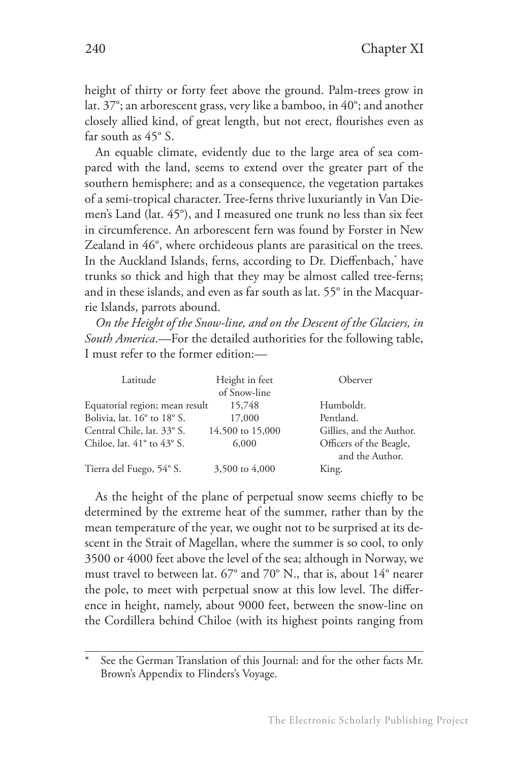height of thirty or forty feet above the ground. Palm-trees grow in lat. 37°; an arborescent grass, very like a bamboo, in 40°; and another closely allied kind, of great length, but not erect, flourishes even as far south as 45° S.

An equable climate, evidently due to the large area of sea compared with the land, seems to extend over the greater part of the southern hemisphere; and as a consequence, the vegetation partakes of a semi-tropical character. Tree-ferns thrive luxuriantly in Van Diemen's Land (lat. 45°), and I measured one trunk no less than six feet in circumference. An arborescent fern was found by Forster in New Zealand in 46°, where orchideous plants are parasitical on the trees. In the Auckland Islands, ferns, according to Dr. Dieffenbach,\* have trunks so thick and high that they may be almost called tree-ferns; and in these islands, and even as far south as lat. 55° in the Macquarrie Islands, parrots abound.

*On the Height of the Snow-line, and on the Descent of the Glaciers, in South America*.—For the detailed authorities for the following table, I must refer to the former edition:—

| Latitude                                 | Height in feet   | Oberver                                    |
|------------------------------------------|------------------|--------------------------------------------|
|                                          | of Snow-line     |                                            |
| Equatorial region; mean result           | 15,748           | Humboldt.                                  |
| Bolivia, lat. 16° to 18° S.              | 17,000           | Pentland.                                  |
| Central Chile, lat. 33° S.               | 14,500 to 15,000 | Gillies, and the Author.                   |
| Chiloe, lat. $41^\circ$ to $43^\circ$ S. | 6,000            | Officers of the Beagle,<br>and the Author. |
| Tierra del Fuego, 54° S.                 | 3,500 to 4,000   | King.                                      |

As the height of the plane of perpetual snow seems chiefly to be determined by the extreme heat of the summer, rather than by the mean temperature of the year, we ought not to be surprised at its descent in the Strait of Magellan, where the summer is so cool, to only 3500 or 4000 feet above the level of the sea; although in Norway, we must travel to between lat. 67° and 70° N., that is, about 14° nearer the pole, to meet with perpetual snow at this low level. The difference in height, namely, about 9000 feet, between the snow-line on the Cordillera behind Chiloe (with its highest points ranging from

See the German Translation of this Journal: and for the other facts Mr. Brown's Appendix to Flinders's Voyage.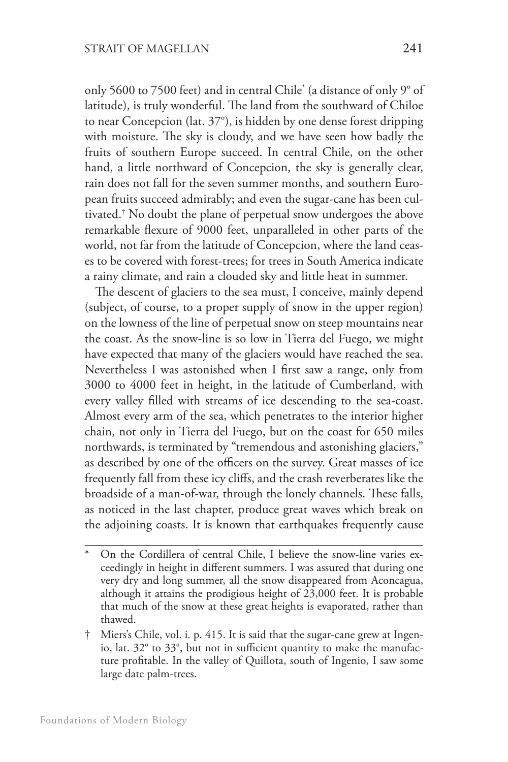only 5600 to 7500 feet) and in central Chile\* (a distance of only 9° of latitude), is truly wonderful. The land from the southward of Chiloe to near Concepcion (lat. 37°), is hidden by one dense forest dripping with moisture. The sky is cloudy, and we have seen how badly the fruits of southern Europe succeed. In central Chile, on the other hand, a little northward of Concepcion, the sky is generally clear, rain does not fall for the seven summer months, and southern European fruits succeed admirably; and even the sugar-cane has been cultivated.† No doubt the plane of perpetual snow undergoes the above remarkable flexure of 9000 feet, unparalleled in other parts of the world, not far from the latitude of Concepcion, where the land ceases to be covered with forest-trees; for trees in South America indicate a rainy climate, and rain a clouded sky and little heat in summer.

The descent of glaciers to the sea must, I conceive, mainly depend (subject, of course, to a proper supply of snow in the upper region) on the lowness of the line of perpetual snow on steep mountains near the coast. As the snow-line is so low in Tierra del Fuego, we might have expected that many of the glaciers would have reached the sea. Nevertheless I was astonished when I first saw a range, only from 3000 to 4000 feet in height, in the latitude of Cumberland, with every valley filled with streams of ice descending to the sea-coast. Almost every arm of the sea, which penetrates to the interior higher chain, not only in Tierra del Fuego, but on the coast for 650 miles northwards, is terminated by "tremendous and astonishing glaciers," as described by one of the officers on the survey. Great masses of ice frequently fall from these icy cliffs, and the crash reverberates like the broadside of a man-of-war, through the lonely channels. These falls, as noticed in the last chapter, produce great waves which break on the adjoining coasts. It is known that earthquakes frequently cause

On the Cordillera of central Chile, I believe the snow-line varies exceedingly in height in different summers. I was assured that during one very dry and long summer, all the snow disappeared from Aconcagua, although it attains the prodigious height of 23,000 feet. It is probable that much of the snow at these great heights is evaporated, rather than thawed.

Miers's Chile, vol. i. p. 415. It is said that the sugar-cane grew at Ingenio, lat. 32° to 33°, but not in sufficient quantity to make the manufacture profitable. In the valley of Quillota, south of Ingenio, I saw some large date palm-trees.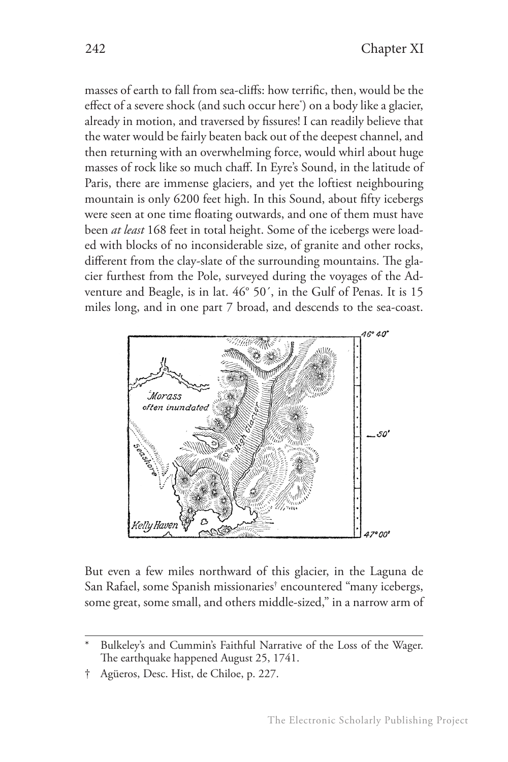masses of earth to fall from sea-cliffs: how terrific, then, would be the effect of a severe shock (and such occur here\* ) on a body like a glacier, already in motion, and traversed by fissures! I can readily believe that the water would be fairly beaten back out of the deepest channel, and then returning with an overwhelming force, would whirl about huge masses of rock like so much chaff. In Eyre's Sound, in the latitude of Paris, there are immense glaciers, and yet the loftiest neighbouring mountain is only 6200 feet high. In this Sound, about fifty icebergs were seen at one time floating outwards, and one of them must have been *at least* 168 feet in total height. Some of the icebergs were loaded with blocks of no inconsiderable size, of granite and other rocks, different from the clay-slate of the surrounding mountains. The glacier furthest from the Pole, surveyed during the voyages of the Adventure and Beagle, is in lat. 46° 50´, in the Gulf of Penas. It is 15 miles long, and in one part 7 broad, and descends to the sea-coast.



But even a few miles northward of this glacier, in the Laguna de San Rafael, some Spanish missionaries† encountered "many icebergs, some great, some small, and others middle-sized," in a narrow arm of

Bulkeley's and Cummin's Faithful Narrative of the Loss of the Wager. The earthquake happened August 25, 1741.

<sup>†</sup> Agüeros, Desc. Hist, de Chiloe, p. 227.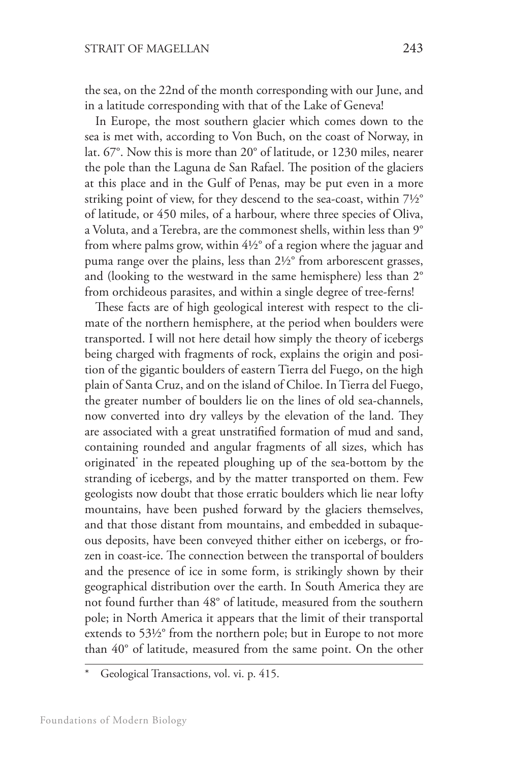the sea, on the 22nd of the month corresponding with our June, and in a latitude corresponding with that of the Lake of Geneva!

In Europe, the most southern glacier which comes down to the sea is met with, according to Von Buch, on the coast of Norway, in lat. 67°. Now this is more than 20° of latitude, or 1230 miles, nearer the pole than the Laguna de San Rafael. The position of the glaciers at this place and in the Gulf of Penas, may be put even in a more striking point of view, for they descend to the sea-coast, within 7½° of latitude, or 450 miles, of a harbour, where three species of Oliva, a Voluta, and a Terebra, are the commonest shells, within less than 9° from where palms grow, within 4½° of a region where the jaguar and puma range over the plains, less than 2½° from arborescent grasses, and (looking to the westward in the same hemisphere) less than 2° from orchideous parasites, and within a single degree of tree-ferns!

These facts are of high geological interest with respect to the climate of the northern hemisphere, at the period when boulders were transported. I will not here detail how simply the theory of icebergs being charged with fragments of rock, explains the origin and position of the gigantic boulders of eastern Tierra del Fuego, on the high plain of Santa Cruz, and on the island of Chiloe. In Tierra del Fuego, the greater number of boulders lie on the lines of old sea-channels, now converted into dry valleys by the elevation of the land. They are associated with a great unstratified formation of mud and sand, containing rounded and angular fragments of all sizes, which has originated\* in the repeated ploughing up of the sea-bottom by the stranding of icebergs, and by the matter transported on them. Few geologists now doubt that those erratic boulders which lie near lofty mountains, have been pushed forward by the glaciers themselves, and that those distant from mountains, and embedded in subaqueous deposits, have been conveyed thither either on icebergs, or frozen in coast-ice. The connection between the transportal of boulders and the presence of ice in some form, is strikingly shown by their geographical distribution over the earth. In South America they are not found further than 48° of latitude, measured from the southern pole; in North America it appears that the limit of their transportal extends to 53½° from the northern pole; but in Europe to not more than 40° of latitude, measured from the same point. On the other

Geological Transactions, vol. vi. p. 415.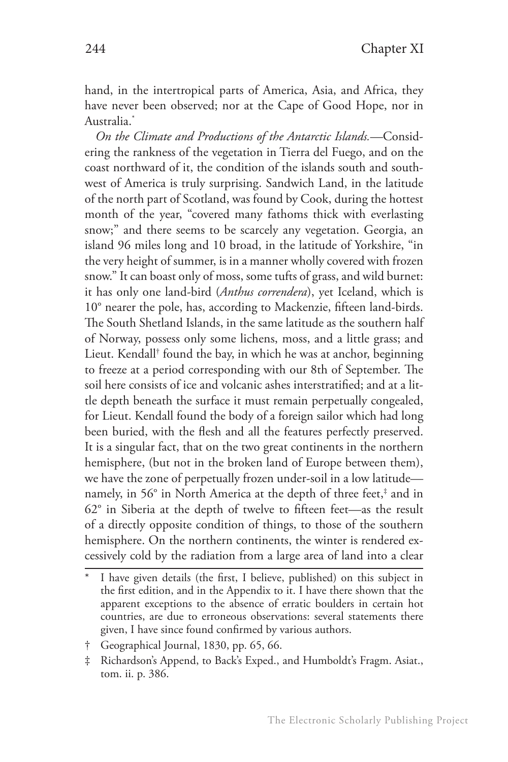hand, in the intertropical parts of America, Asia, and Africa, they have never been observed; nor at the Cape of Good Hope, nor in Australia.\*

*On the Climate and Productions of the Antarctic Islands.*—Considering the rankness of the vegetation in Tierra del Fuego, and on the coast northward of it, the condition of the islands south and southwest of America is truly surprising. Sandwich Land, in the latitude of the north part of Scotland, was found by Cook, during the hottest month of the year, "covered many fathoms thick with everlasting snow;" and there seems to be scarcely any vegetation. Georgia, an island 96 miles long and 10 broad, in the latitude of Yorkshire, "in the very height of summer, is in a manner wholly covered with frozen snow." It can boast only of moss, some tufts of grass, and wild burnet: it has only one land-bird (*Anthus correndera*), yet Iceland, which is 10° nearer the pole, has, according to Mackenzie, fifteen land-birds. The South Shetland Islands, in the same latitude as the southern half of Norway, possess only some lichens, moss, and a little grass; and Lieut. Kendall† found the bay, in which he was at anchor, beginning to freeze at a period corresponding with our 8th of September. The soil here consists of ice and volcanic ashes interstratified; and at a little depth beneath the surface it must remain perpetually congealed, for Lieut. Kendall found the body of a foreign sailor which had long been buried, with the flesh and all the features perfectly preserved. It is a singular fact, that on the two great continents in the northern hemisphere, (but not in the broken land of Europe between them), we have the zone of perpetually frozen under-soil in a low latitude namely, in 56° in North America at the depth of three feet,<sup>‡</sup> and in 62° in Siberia at the depth of twelve to fifteen feet—as the result of a directly opposite condition of things, to those of the southern hemisphere. On the northern continents, the winter is rendered excessively cold by the radiation from a large area of land into a clear

I have given details (the first, I believe, published) on this subject in the first edition, and in the Appendix to it. I have there shown that the apparent exceptions to the absence of erratic boulders in certain hot countries, are due to erroneous observations: several statements there given, I have since found confirmed by various authors.

<sup>†</sup> Geographical Journal, 1830, pp. 65, 66.

<sup>‡</sup> Richardson's Append, to Back's Exped., and Humboldt's Fragm. Asiat., tom. ii. p. 386.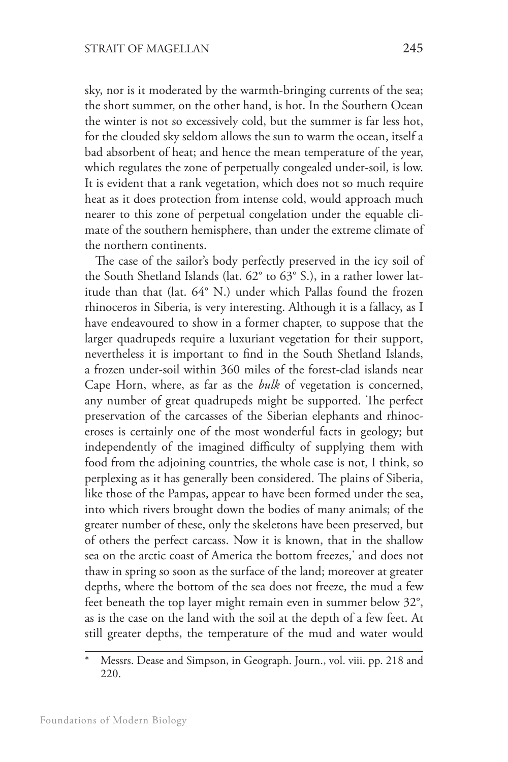sky, nor is it moderated by the warmth-bringing currents of the sea; the short summer, on the other hand, is hot. In the Southern Ocean the winter is not so excessively cold, but the summer is far less hot, for the clouded sky seldom allows the sun to warm the ocean, itself a bad absorbent of heat; and hence the mean temperature of the year, which regulates the zone of perpetually congealed under-soil, is low. It is evident that a rank vegetation, which does not so much require heat as it does protection from intense cold, would approach much nearer to this zone of perpetual congelation under the equable climate of the southern hemisphere, than under the extreme climate of the northern continents.

The case of the sailor's body perfectly preserved in the icy soil of the South Shetland Islands (lat. 62° to 63° S.), in a rather lower latitude than that (lat. 64° N.) under which Pallas found the frozen rhinoceros in Siberia, is very interesting. Although it is a fallacy, as I have endeavoured to show in a former chapter, to suppose that the larger quadrupeds require a luxuriant vegetation for their support, nevertheless it is important to find in the South Shetland Islands, a frozen under-soil within 360 miles of the forest-clad islands near Cape Horn, where, as far as the *bulk* of vegetation is concerned, any number of great quadrupeds might be supported. The perfect preservation of the carcasses of the Siberian elephants and rhinoceroses is certainly one of the most wonderful facts in geology; but independently of the imagined difficulty of supplying them with food from the adjoining countries, the whole case is not, I think, so perplexing as it has generally been considered. The plains of Siberia, like those of the Pampas, appear to have been formed under the sea, into which rivers brought down the bodies of many animals; of the greater number of these, only the skeletons have been preserved, but of others the perfect carcass. Now it is known, that in the shallow sea on the arctic coast of America the bottom freezes,\* and does not thaw in spring so soon as the surface of the land; moreover at greater depths, where the bottom of the sea does not freeze, the mud a few feet beneath the top layer might remain even in summer below 32°, as is the case on the land with the soil at the depth of a few feet. At still greater depths, the temperature of the mud and water would

Messrs. Dease and Simpson, in Geograph. Journ., vol. viii. pp. 218 and 220.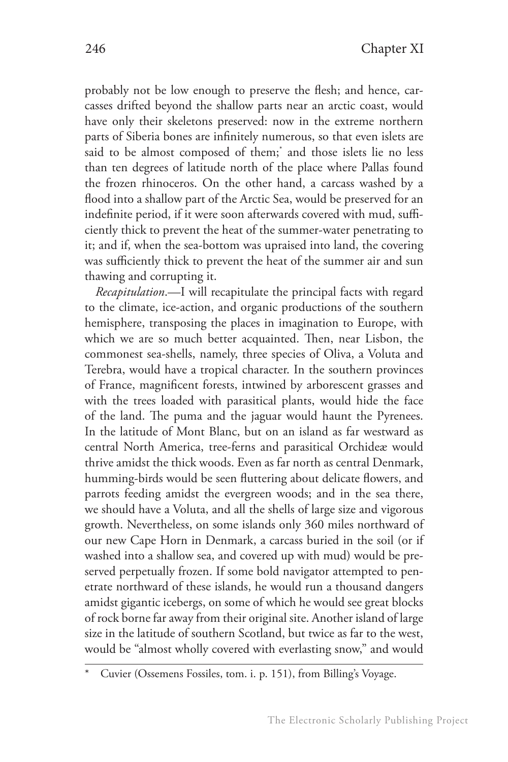probably not be low enough to preserve the flesh; and hence, carcasses drifted beyond the shallow parts near an arctic coast, would have only their skeletons preserved: now in the extreme northern parts of Siberia bones are infinitely numerous, so that even islets are said to be almost composed of them;\* and those islets lie no less than ten degrees of latitude north of the place where Pallas found the frozen rhinoceros. On the other hand, a carcass washed by a flood into a shallow part of the Arctic Sea, would be preserved for an indefinite period, if it were soon afterwards covered with mud, sufficiently thick to prevent the heat of the summer-water penetrating to it; and if, when the sea-bottom was upraised into land, the covering was sufficiently thick to prevent the heat of the summer air and sun thawing and corrupting it.

*Recapitulation*.—I will recapitulate the principal facts with regard to the climate, ice-action, and organic productions of the southern hemisphere, transposing the places in imagination to Europe, with which we are so much better acquainted. Then, near Lisbon, the commonest sea-shells, namely, three species of Oliva, a Voluta and Terebra, would have a tropical character. In the southern provinces of France, magnificent forests, intwined by arborescent grasses and with the trees loaded with parasitical plants, would hide the face of the land. The puma and the jaguar would haunt the Pyrenees. In the latitude of Mont Blanc, but on an island as far westward as central North America, tree-ferns and parasitical Orchideæ would thrive amidst the thick woods. Even as far north as central Denmark, humming-birds would be seen fluttering about delicate flowers, and parrots feeding amidst the evergreen woods; and in the sea there, we should have a Voluta, and all the shells of large size and vigorous growth. Nevertheless, on some islands only 360 miles northward of our new Cape Horn in Denmark, a carcass buried in the soil (or if washed into a shallow sea, and covered up with mud) would be preserved perpetually frozen. If some bold navigator attempted to penetrate northward of these islands, he would run a thousand dangers amidst gigantic icebergs, on some of which he would see great blocks of rock borne far away from their original site. Another island of large size in the latitude of southern Scotland, but twice as far to the west, would be "almost wholly covered with everlasting snow," and would

Cuvier (Ossemens Fossiles, tom. i. p. 151), from Billing's Voyage.